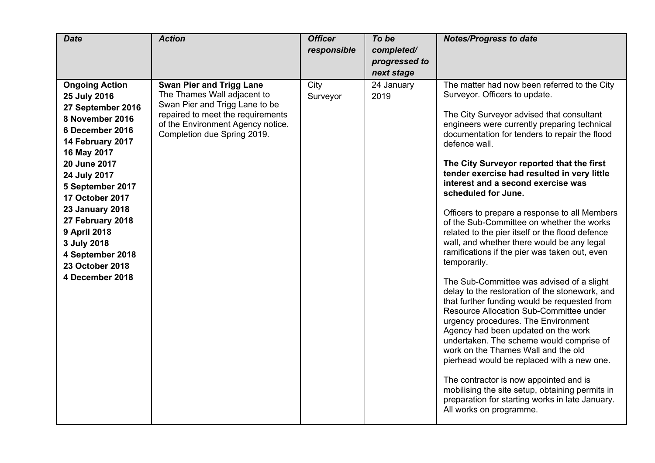| <b>Date</b>                                                                                                                                                                                                                                                                                                                                              | <b>Action</b>                                                                                                                                                                                             | <b>Officer</b><br>responsible | To be<br>completed/<br>progressed to<br>next stage | <b>Notes/Progress to date</b>                                                                                                                                                                                                                                                                                                                                                                                                                                                                                                                                                                                                                                                                                                                                                                                                                                                                                                                                                                                                                                                                                                                                                                                                                             |
|----------------------------------------------------------------------------------------------------------------------------------------------------------------------------------------------------------------------------------------------------------------------------------------------------------------------------------------------------------|-----------------------------------------------------------------------------------------------------------------------------------------------------------------------------------------------------------|-------------------------------|----------------------------------------------------|-----------------------------------------------------------------------------------------------------------------------------------------------------------------------------------------------------------------------------------------------------------------------------------------------------------------------------------------------------------------------------------------------------------------------------------------------------------------------------------------------------------------------------------------------------------------------------------------------------------------------------------------------------------------------------------------------------------------------------------------------------------------------------------------------------------------------------------------------------------------------------------------------------------------------------------------------------------------------------------------------------------------------------------------------------------------------------------------------------------------------------------------------------------------------------------------------------------------------------------------------------------|
| <b>Ongoing Action</b><br>25 July 2016<br>27 September 2016<br>8 November 2016<br>6 December 2016<br>14 February 2017<br>16 May 2017<br>20 June 2017<br>24 July 2017<br>5 September 2017<br><b>17 October 2017</b><br><b>23 January 2018</b><br>27 February 2018<br>9 April 2018<br>3 July 2018<br>4 September 2018<br>23 October 2018<br>4 December 2018 | <b>Swan Pier and Trigg Lane</b><br>The Thames Wall adjacent to<br>Swan Pier and Trigg Lane to be<br>repaired to meet the requirements<br>of the Environment Agency notice.<br>Completion due Spring 2019. | City<br>Surveyor              | 24 January<br>2019                                 | The matter had now been referred to the City<br>Surveyor. Officers to update.<br>The City Surveyor advised that consultant<br>engineers were currently preparing technical<br>documentation for tenders to repair the flood<br>defence wall.<br>The City Surveyor reported that the first<br>tender exercise had resulted in very little<br>interest and a second exercise was<br>scheduled for June.<br>Officers to prepare a response to all Members<br>of the Sub-Committee on whether the works<br>related to the pier itself or the flood defence<br>wall, and whether there would be any legal<br>ramifications if the pier was taken out, even<br>temporarily.<br>The Sub-Committee was advised of a slight<br>delay to the restoration of the stonework, and<br>that further funding would be requested from<br>Resource Allocation Sub-Committee under<br>urgency procedures. The Environment<br>Agency had been updated on the work<br>undertaken. The scheme would comprise of<br>work on the Thames Wall and the old<br>pierhead would be replaced with a new one.<br>The contractor is now appointed and is<br>mobilising the site setup, obtaining permits in<br>preparation for starting works in late January.<br>All works on programme. |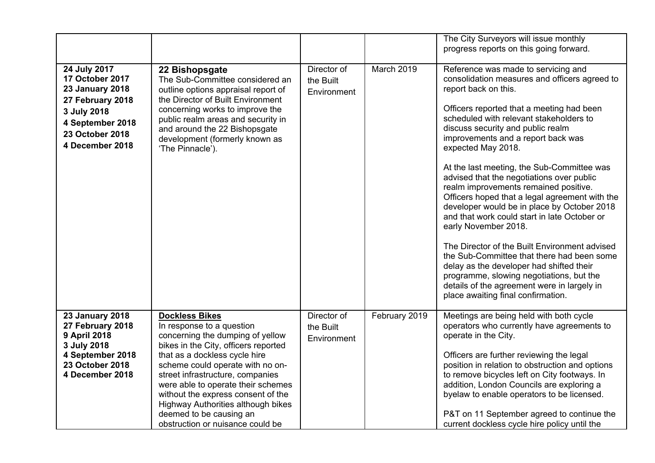|                                                                                                                                                        |                                                                                                                                                                                                                                                                                                                                                                                                                          |                                         |               | The City Surveyors will issue monthly<br>progress reports on this going forward.                                                                                                                                                                                                                                                                                                                                                                                                                                                                                                                                                                                                                                                                                                                                                                                                               |
|--------------------------------------------------------------------------------------------------------------------------------------------------------|--------------------------------------------------------------------------------------------------------------------------------------------------------------------------------------------------------------------------------------------------------------------------------------------------------------------------------------------------------------------------------------------------------------------------|-----------------------------------------|---------------|------------------------------------------------------------------------------------------------------------------------------------------------------------------------------------------------------------------------------------------------------------------------------------------------------------------------------------------------------------------------------------------------------------------------------------------------------------------------------------------------------------------------------------------------------------------------------------------------------------------------------------------------------------------------------------------------------------------------------------------------------------------------------------------------------------------------------------------------------------------------------------------------|
| 24 July 2017<br>17 October 2017<br><b>23 January 2018</b><br>27 February 2018<br>3 July 2018<br>4 September 2018<br>23 October 2018<br>4 December 2018 | 22 Bishopsgate<br>The Sub-Committee considered an<br>outline options appraisal report of<br>the Director of Built Environment<br>concerning works to improve the<br>public realm areas and security in<br>and around the 22 Bishopsgate<br>development (formerly known as<br>'The Pinnacle').                                                                                                                            | Director of<br>the Built<br>Environment | March 2019    | Reference was made to servicing and<br>consolidation measures and officers agreed to<br>report back on this.<br>Officers reported that a meeting had been<br>scheduled with relevant stakeholders to<br>discuss security and public realm<br>improvements and a report back was<br>expected May 2018.<br>At the last meeting, the Sub-Committee was<br>advised that the negotiations over public<br>realm improvements remained positive.<br>Officers hoped that a legal agreement with the<br>developer would be in place by October 2018<br>and that work could start in late October or<br>early November 2018.<br>The Director of the Built Environment advised<br>the Sub-Committee that there had been some<br>delay as the developer had shifted their<br>programme, slowing negotiations, but the<br>details of the agreement were in largely in<br>place awaiting final confirmation. |
| <b>23 January 2018</b><br>27 February 2018<br>9 April 2018<br>3 July 2018<br>4 September 2018<br>23 October 2018<br>4 December 2018                    | <b>Dockless Bikes</b><br>In response to a question<br>concerning the dumping of yellow<br>bikes in the City, officers reported<br>that as a dockless cycle hire<br>scheme could operate with no on-<br>street infrastructure, companies<br>were able to operate their schemes<br>without the express consent of the<br>Highway Authorities although bikes<br>deemed to be causing an<br>obstruction or nuisance could be | Director of<br>the Built<br>Environment | February 2019 | Meetings are being held with both cycle<br>operators who currently have agreements to<br>operate in the City.<br>Officers are further reviewing the legal<br>position in relation to obstruction and options<br>to remove bicycles left on City footways. In<br>addition, London Councils are exploring a<br>byelaw to enable operators to be licensed.<br>P&T on 11 September agreed to continue the<br>current dockless cycle hire policy until the                                                                                                                                                                                                                                                                                                                                                                                                                                          |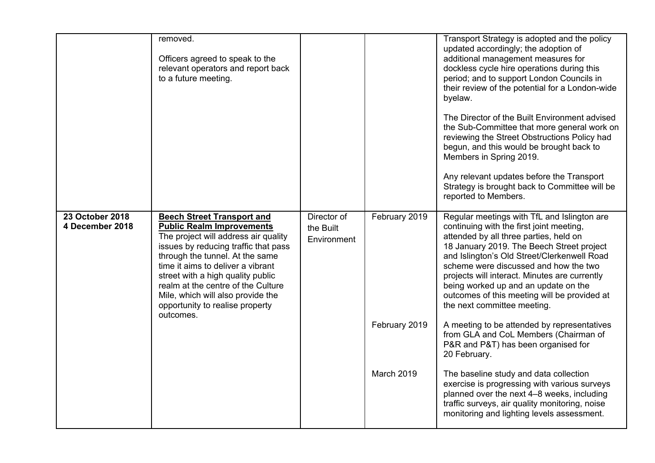|                                    | removed.<br>Officers agreed to speak to the<br>relevant operators and report back<br>to a future meeting.                                                                                                                                                                                                                                                                                     |                                         |                                              | Transport Strategy is adopted and the policy<br>updated accordingly; the adoption of<br>additional management measures for<br>dockless cycle hire operations during this<br>period; and to support London Councils in<br>their review of the potential for a London-wide<br>byelaw.<br>The Director of the Built Environment advised<br>the Sub-Committee that more general work on<br>reviewing the Street Obstructions Policy had<br>begun, and this would be brought back to<br>Members in Spring 2019.<br>Any relevant updates before the Transport<br>Strategy is brought back to Committee will be<br>reported to Members.                                                                                                                                                                                                      |
|------------------------------------|-----------------------------------------------------------------------------------------------------------------------------------------------------------------------------------------------------------------------------------------------------------------------------------------------------------------------------------------------------------------------------------------------|-----------------------------------------|----------------------------------------------|---------------------------------------------------------------------------------------------------------------------------------------------------------------------------------------------------------------------------------------------------------------------------------------------------------------------------------------------------------------------------------------------------------------------------------------------------------------------------------------------------------------------------------------------------------------------------------------------------------------------------------------------------------------------------------------------------------------------------------------------------------------------------------------------------------------------------------------|
| 23 October 2018<br>4 December 2018 | <b>Beech Street Transport and</b><br><b>Public Realm Improvements</b><br>The project will address air quality<br>issues by reducing traffic that pass<br>through the tunnel. At the same<br>time it aims to deliver a vibrant<br>street with a high quality public<br>realm at the centre of the Culture<br>Mile, which will also provide the<br>opportunity to realise property<br>outcomes. | Director of<br>the Built<br>Environment | February 2019<br>February 2019<br>March 2019 | Regular meetings with TfL and Islington are<br>continuing with the first joint meeting,<br>attended by all three parties, held on<br>18 January 2019. The Beech Street project<br>and Islington's Old Street/Clerkenwell Road<br>scheme were discussed and how the two<br>projects will interact. Minutes are currently<br>being worked up and an update on the<br>outcomes of this meeting will be provided at<br>the next committee meeting.<br>A meeting to be attended by representatives<br>from GLA and CoL Members (Chairman of<br>P&R and P&T) has been organised for<br>20 February.<br>The baseline study and data collection<br>exercise is progressing with various surveys<br>planned over the next 4-8 weeks, including<br>traffic surveys, air quality monitoring, noise<br>monitoring and lighting levels assessment. |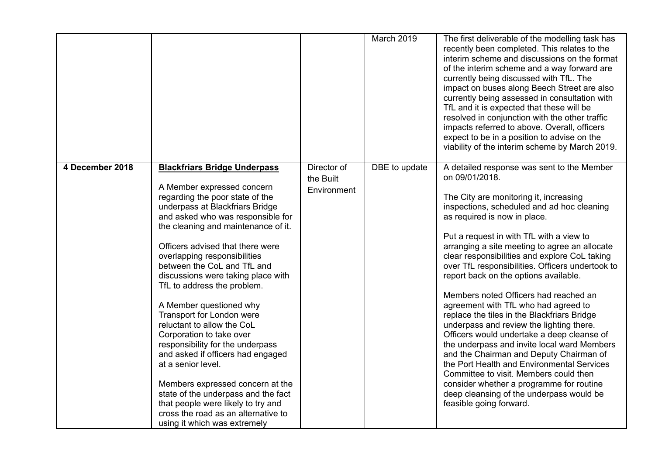|                 |                                                                                                                                                                                                               |                                         | March 2019    | The first deliverable of the modelling task has<br>recently been completed. This relates to the<br>interim scheme and discussions on the format<br>of the interim scheme and a way forward are<br>currently being discussed with TfL. The<br>impact on buses along Beech Street are also<br>currently being assessed in consultation with<br>TfL and it is expected that these will be<br>resolved in conjunction with the other traffic<br>impacts referred to above. Overall, officers<br>expect to be in a position to advise on the<br>viability of the interim scheme by March 2019. |
|-----------------|---------------------------------------------------------------------------------------------------------------------------------------------------------------------------------------------------------------|-----------------------------------------|---------------|-------------------------------------------------------------------------------------------------------------------------------------------------------------------------------------------------------------------------------------------------------------------------------------------------------------------------------------------------------------------------------------------------------------------------------------------------------------------------------------------------------------------------------------------------------------------------------------------|
| 4 December 2018 | <b>Blackfriars Bridge Underpass</b><br>A Member expressed concern<br>regarding the poor state of the                                                                                                          | Director of<br>the Built<br>Environment | DBE to update | A detailed response was sent to the Member<br>on 09/01/2018.<br>The City are monitoring it, increasing                                                                                                                                                                                                                                                                                                                                                                                                                                                                                    |
|                 | underpass at Blackfriars Bridge<br>and asked who was responsible for<br>the cleaning and maintenance of it.                                                                                                   |                                         |               | inspections, scheduled and ad hoc cleaning<br>as required is now in place.                                                                                                                                                                                                                                                                                                                                                                                                                                                                                                                |
|                 | Officers advised that there were<br>overlapping responsibilities<br>between the CoL and TfL and<br>discussions were taking place with<br>TfL to address the problem.                                          |                                         |               | Put a request in with TfL with a view to<br>arranging a site meeting to agree an allocate<br>clear responsibilities and explore CoL taking<br>over TfL responsibilities. Officers undertook to<br>report back on the options available.                                                                                                                                                                                                                                                                                                                                                   |
|                 | A Member questioned why<br>Transport for London were<br>reluctant to allow the CoL<br>Corporation to take over<br>responsibility for the underpass<br>and asked if officers had engaged<br>at a senior level. |                                         |               | Members noted Officers had reached an<br>agreement with TfL who had agreed to<br>replace the tiles in the Blackfriars Bridge<br>underpass and review the lighting there.<br>Officers would undertake a deep cleanse of<br>the underpass and invite local ward Members<br>and the Chairman and Deputy Chairman of<br>the Port Health and Environmental Services                                                                                                                                                                                                                            |
|                 | Members expressed concern at the<br>state of the underpass and the fact<br>that people were likely to try and<br>cross the road as an alternative to<br>using it which was extremely                          |                                         |               | Committee to visit. Members could then<br>consider whether a programme for routine<br>deep cleansing of the underpass would be<br>feasible going forward.                                                                                                                                                                                                                                                                                                                                                                                                                                 |